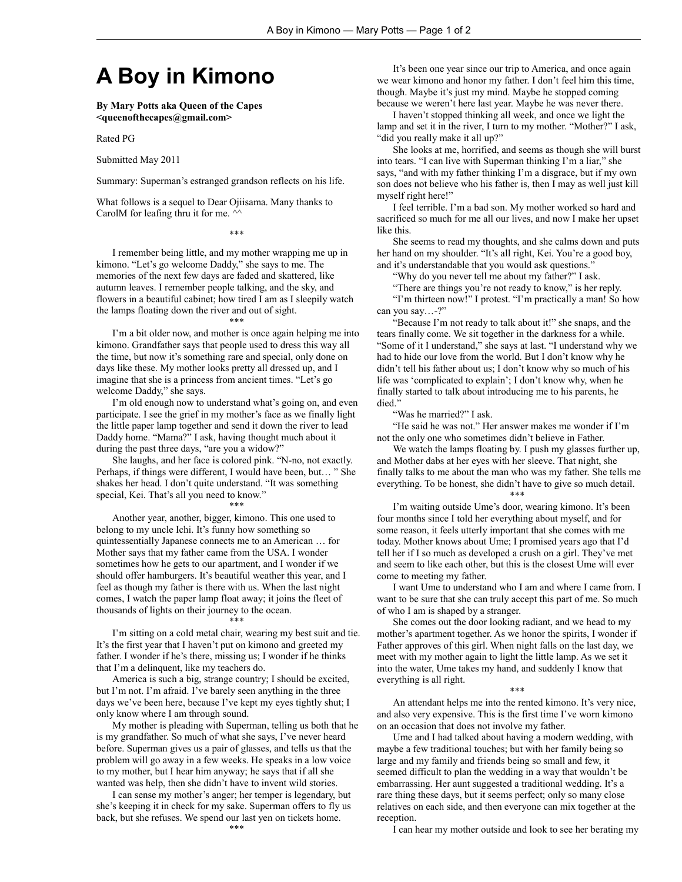## **A Boy in Kimono**

**By Mary Potts aka Queen of the Capes <queenofthecapes@gmail.com>**

Rated PG

Submitted May 2011

Summary: Superman's estranged grandson reflects on his life.

What follows is a sequel to Dear Ojiisama. Many thanks to CarolM for leafing thru it for me.  $\wedge$ 

\*\*\*

I remember being little, and my mother wrapping me up in kimono. "Let's go welcome Daddy," she says to me. The memories of the next few days are faded and skattered, like autumn leaves. I remember people talking, and the sky, and flowers in a beautiful cabinet; how tired I am as I sleepily watch the lamps floating down the river and out of sight.

I'm a bit older now, and mother is once again helping me into kimono. Grandfather says that people used to dress this way all the time, but now it's something rare and special, only done on days like these. My mother looks pretty all dressed up, and I imagine that she is a princess from ancient times. "Let's go welcome Daddy," she says.

\*\*\*

I'm old enough now to understand what's going on, and even participate. I see the grief in my mother's face as we finally light the little paper lamp together and send it down the river to lead Daddy home. "Mama?" I ask, having thought much about it during the past three days, "are you a widow?"

She laughs, and her face is colored pink. "N-no, not exactly. Perhaps, if things were different, I would have been, but… " She shakes her head. I don't quite understand. "It was something special, Kei. That's all you need to know."

\*\*\* Another year, another, bigger, kimono. This one used to belong to my uncle Ichi. It's funny how something so quintessentially Japanese connects me to an American … for Mother says that my father came from the USA. I wonder sometimes how he gets to our apartment, and I wonder if we

should offer hamburgers. It's beautiful weather this year, and I feel as though my father is there with us. When the last night comes, I watch the paper lamp float away; it joins the fleet of thousands of lights on their journey to the ocean. \*\*\*

I'm sitting on a cold metal chair, wearing my best suit and tie. It's the first year that I haven't put on kimono and greeted my father. I wonder if he's there, missing us; I wonder if he thinks that I'm a delinquent, like my teachers do.

America is such a big, strange country; I should be excited, but I'm not. I'm afraid. I've barely seen anything in the three days we've been here, because I've kept my eyes tightly shut; I only know where I am through sound.

My mother is pleading with Superman, telling us both that he is my grandfather. So much of what she says, I've never heard before. Superman gives us a pair of glasses, and tells us that the problem will go away in a few weeks. He speaks in a low voice to my mother, but I hear him anyway; he says that if all she wanted was help, then she didn't have to invent wild stories.

I can sense my mother's anger; her temper is legendary, but she's keeping it in check for my sake. Superman offers to fly us back, but she refuses. We spend our last yen on tickets home. \*\*\*

It's been one year since our trip to America, and once again we wear kimono and honor my father. I don't feel him this time, though. Maybe it's just my mind. Maybe he stopped coming because we weren't here last year. Maybe he was never there.

I haven't stopped thinking all week, and once we light the lamp and set it in the river, I turn to my mother. "Mother?" I ask, "did you really make it all up?"

She looks at me, horrified, and seems as though she will burst into tears. "I can live with Superman thinking I'm a liar," she says, "and with my father thinking I'm a disgrace, but if my own son does not believe who his father is, then I may as well just kill myself right here!"

I feel terrible. I'm a bad son. My mother worked so hard and sacrificed so much for me all our lives, and now I make her upset like this.

She seems to read my thoughts, and she calms down and puts her hand on my shoulder. "It's all right, Kei. You're a good boy, and it's understandable that you would ask questions.'

"Why do you never tell me about my father?" I ask.

"There are things you're not ready to know," is her reply.

"I'm thirteen now!" I protest. "I'm practically a man! So how can you say…-?"

"Because I'm not ready to talk about it!" she snaps, and the tears finally come. We sit together in the darkness for a while. "Some of it I understand," she says at last. "I understand why we had to hide our love from the world. But I don't know why he didn't tell his father about us; I don't know why so much of his life was 'complicated to explain'; I don't know why, when he finally started to talk about introducing me to his parents, he died."

"Was he married?" I ask.

"He said he was not." Her answer makes me wonder if I'm not the only one who sometimes didn't believe in Father.

We watch the lamps floating by. I push my glasses further up, and Mother dabs at her eyes with her sleeve. That night, she finally talks to me about the man who was my father. She tells me everything. To be honest, she didn't have to give so much detail. \*\*\*

I'm waiting outside Ume's door, wearing kimono. It's been four months since I told her everything about myself, and for some reason, it feels utterly important that she comes with me today. Mother knows about Ume; I promised years ago that I'd tell her if I so much as developed a crush on a girl. They've met and seem to like each other, but this is the closest Ume will ever come to meeting my father.

I want Ume to understand who I am and where I came from. I want to be sure that she can truly accept this part of me. So much of who I am is shaped by a stranger.

She comes out the door looking radiant, and we head to my mother's apartment together. As we honor the spirits, I wonder if Father approves of this girl. When night falls on the last day, we meet with my mother again to light the little lamp. As we set it into the water, Ume takes my hand, and suddenly I know that everything is all right.

\*\*\*

An attendant helps me into the rented kimono. It's very nice, and also very expensive. This is the first time I've worn kimono on an occasion that does not involve my father.

Ume and I had talked about having a modern wedding, with maybe a few traditional touches; but with her family being so large and my family and friends being so small and few, it seemed difficult to plan the wedding in a way that wouldn't be embarrassing. Her aunt suggested a traditional wedding. It's a rare thing these days, but it seems perfect; only so many close relatives on each side, and then everyone can mix together at the reception.

I can hear my mother outside and look to see her berating my